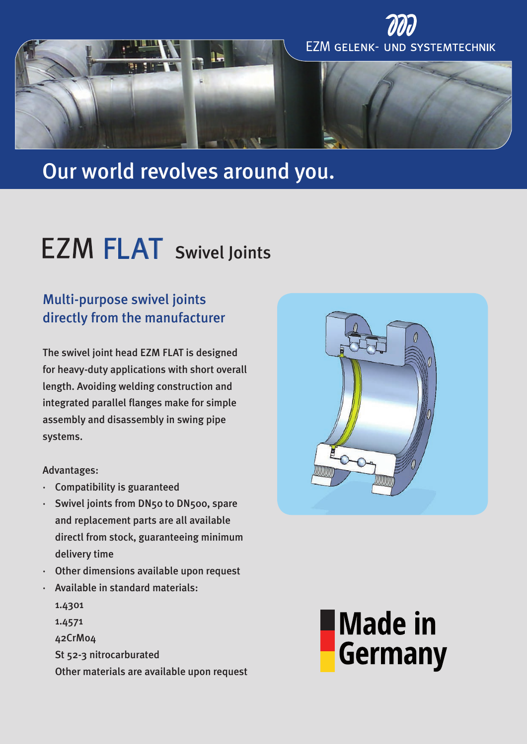

# Our world revolves around you.

# FLAT Swivel Joints

## Multi-purpose swivel joints directly from the manufacturer

The swivel joint head EZM FLAT is designed for heavy-duty applications with short overall length. Avoiding welding construction and integrated parallel flanges make for simple assembly and disassembly in swing pipe systems.

#### Advantages:

- · Compatibility is guaranteed
- Swivel joints from DN50 to DN500, spare and replacement parts are all available directl from stock, guaranteeing minimum delivery time
- · Other dimensions available upon request
- · Available in standard materials:
	- 1.4301 1.4571 42CrMo4 St 52-3 nitrocarburated Other materials are available upon request